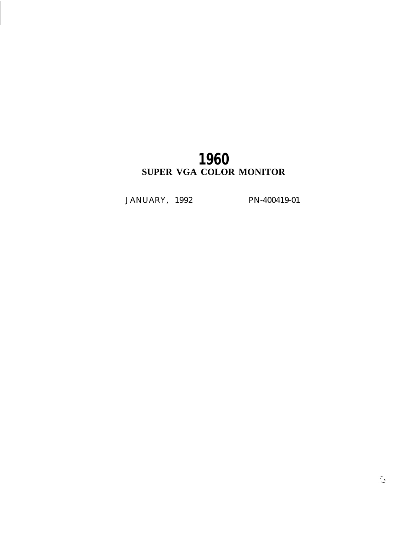# **1960 SUPER VGA COLOR MONITOR**

JANUARY, 1992 PN-400419-01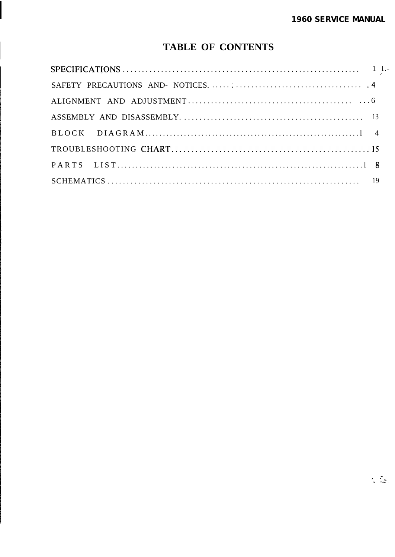# **TABLE OF CONTENTS**

| SPECIFICATIONS $\ldots$ $\ldots$ $\ldots$ $\ldots$ $\ldots$ $\ldots$ $\ldots$ $\ldots$ $\ldots$ $\ldots$ $\ldots$ $\ldots$ $\ldots$ $\ldots$ $\ldots$ |  |
|-------------------------------------------------------------------------------------------------------------------------------------------------------|--|
|                                                                                                                                                       |  |
|                                                                                                                                                       |  |
|                                                                                                                                                       |  |
|                                                                                                                                                       |  |
|                                                                                                                                                       |  |
|                                                                                                                                                       |  |
|                                                                                                                                                       |  |

 $\mathcal{L}(\mathbf{k})$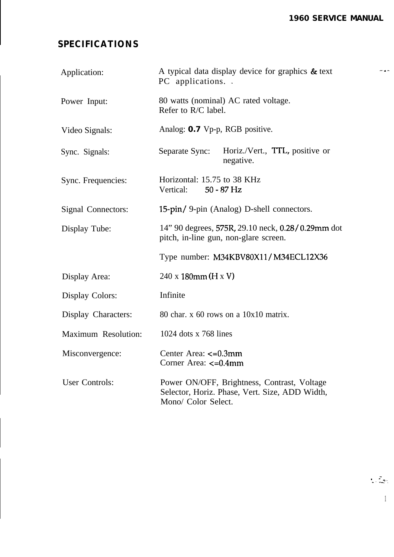$\sim$  .  $\sim$ 

## **SPECIFICATIONS**

| Application:              | A typical data display device for graphics & text<br>PC applications.                                                |  |  |  |  |
|---------------------------|----------------------------------------------------------------------------------------------------------------------|--|--|--|--|
| Power Input:              | 80 watts (nominal) AC rated voltage.<br>Refer to R/C label.                                                          |  |  |  |  |
| Video Signals:            | Analog: <b>0.7</b> Vp-p, RGB positive.                                                                               |  |  |  |  |
| Sync. Signals:            | Horiz./Vert., TTL, positive or<br>Separate Sync:<br>negative.                                                        |  |  |  |  |
| Sync. Frequencies:        | Horizontal: 15.75 to 38 KHz<br>Vertical:<br>$50 - 87$ Hz                                                             |  |  |  |  |
| <b>Signal Connectors:</b> | 15-pin/ 9-pin (Analog) D-shell connectors.                                                                           |  |  |  |  |
| Display Tube:             | 14" 90 degrees, 575R, 29.10 neck, 0.28/0.29mm dot<br>pitch, in-line gun, non-glare screen.                           |  |  |  |  |
|                           | Type number: M34KBV80X11/M34ECL12X36                                                                                 |  |  |  |  |
| Display Area:             | 240 x 180mm (H x V)                                                                                                  |  |  |  |  |
| Display Colors:           | Infinite                                                                                                             |  |  |  |  |
| Display Characters:       | 80 char. x 60 rows on a 10x10 matrix.                                                                                |  |  |  |  |
| Maximum Resolution:       | 1024 dots $x$ 768 lines                                                                                              |  |  |  |  |
| Misconvergence:           | Center Area: <= 0.3mm<br>Corner Area: <= 0.4mm                                                                       |  |  |  |  |
| <b>User Controls:</b>     | Power ON/OFF, Brightness, Contrast, Voltage<br>Selector, Horiz. Phase, Vert. Size, ADD Width,<br>Mono/ Color Select. |  |  |  |  |

 $\mathcal{L}^{\text{max}}$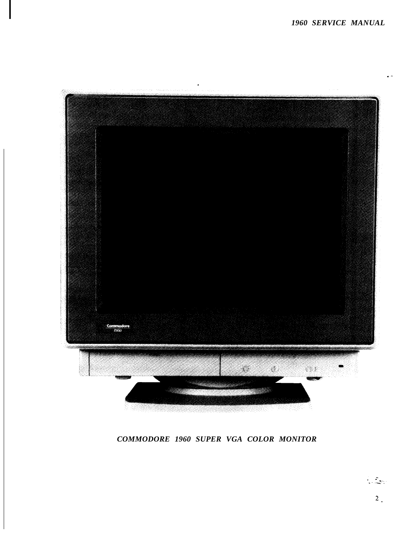

### *COMMODORE 1960 SUPER VGA COLOR MONITOR*

 $2<sub>1</sub>$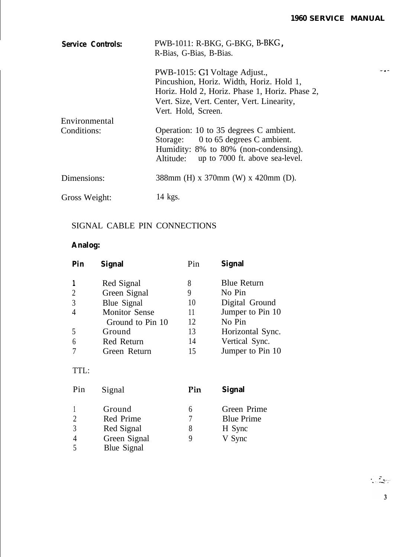$\sim$  .  $\sim$ 

| <b>Service Controls:</b> | PWB-1011: R-BKG, G-BKG, B-BKG,<br>R-Bias, G-Bias, B-Bias.                                                                                                                                        |
|--------------------------|--------------------------------------------------------------------------------------------------------------------------------------------------------------------------------------------------|
|                          | PWB-1015: G1 Voltage Adjust.,<br>Pincushion, Horiz. Width, Horiz. Hold 1,<br>Horiz. Hold 2, Horiz. Phase 1, Horiz. Phase 2,<br>Vert. Size, Vert. Center, Vert. Linearity,<br>Vert. Hold, Screen. |
| Environmental            |                                                                                                                                                                                                  |
| Conditions:              | Operation: 10 to 35 degrees C ambient.<br>Storage: $0$ to 65 degrees C ambient.<br>Humidity: 8% to 80% (non-condensing).<br>Altitude: up to 7000 ft. above sea-level.                            |
| Dimensions:              | 388mm (H) x 370mm (W) x 420mm (D).                                                                                                                                                               |
| Gross Weight:            | 14 kgs.                                                                                                                                                                                          |

## SIGNAL CABLE PIN CONNECTIONS

# **Analog:**

| Pin | <b>Signal</b>        | Pin | <b>Signal</b>      |
|-----|----------------------|-----|--------------------|
|     | Red Signal           | 8   | <b>Blue Return</b> |
|     | Green Signal         | 9   | No Pin             |
| 3   | Blue Signal          | 10  | Digital Ground     |
|     | <b>Monitor Sense</b> | 11  | Jumper to Pin 10   |
|     | Ground to Pin 10     | 12  | No Pin             |
|     | Ground               | 13  | Horizontal Sync.   |
| 6   | Red Return           | 14  | Vertical Sync.     |
|     | Green Return         | 15  | Jumper to Pin 10   |

TTL:

| Pin | Signal             | Pin | <b>Signal</b>     |
|-----|--------------------|-----|-------------------|
|     | Ground             | h   | Green Prime       |
|     | Red Prime          |     | <b>Blue Prime</b> |
|     | Red Signal         |     | H Sync            |
|     | Green Signal       |     | V Sync            |
|     | <b>Blue Signal</b> |     |                   |

 $\mathcal{L}$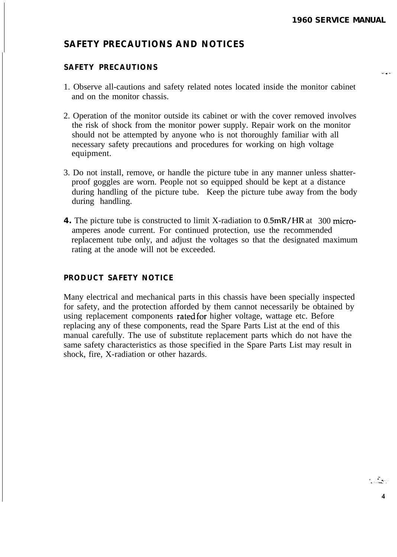\_. . -

## **SAFETY PRECAUTIONS AND NOTICES**

#### **SAFETY PRECAUTIONS**

- 1. Observe all-cautions and safety related notes located inside the monitor cabinet and on the monitor chassis.
- 2. Operation of the monitor outside its cabinet or with the cover removed involves the risk of shock from the monitor power supply. Repair work on the monitor should not be attempted by anyone who is not thoroughly familiar with all necessary safety precautions and procedures for working on high voltage equipment.
- 3. Do not install, remove, or handle the picture tube in any manner unless shatterproof goggles are worn. People not so equipped should be kept at a distance during handling of the picture tube. Keep the picture tube away from the body during handling.
- *4.* The picture tube is constructed to limit X-radiation to O.SmR/HR at 300 microamperes anode current. For continued protection, use the recommended replacement tube only, and adjust the voltages so that the designated maximum rating at the anode will not be exceeded.

#### **PRODUCT SAFETY NOTICE**

Many electrical and mechanical parts in this chassis have been specially inspected for safety, and the protection afforded by them cannot necessarily be obtained by using replacement components ratedfor higher voltage, wattage etc. Before replacing any of these components, read the Spare Parts List at the end of this manual carefully. The use of substitute replacement parts which do not have the same safety characteristics as those specified in the Spare Parts List may result in shock, fire, X-radiation or other hazards.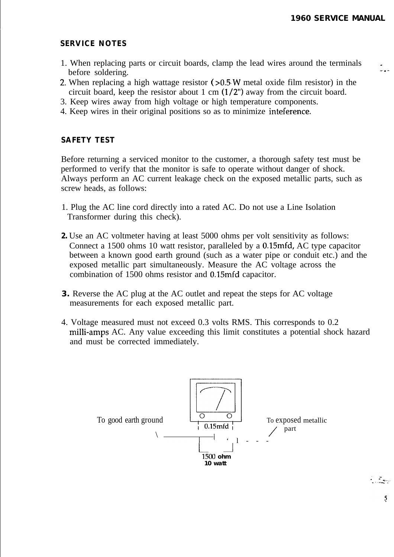$\mathbf{r}$ \_. . -

#### **SERVICE NOTES**

- 1. When replacing parts or circuit boards, clamp the lead wires around the terminals before soldering.
- 2. When replacing a high wattage resistor ( >0,5W metal oxide film resistor) in the circuit board, keep the resistor about 1 cm  $(1/2")$  away from the circuit board.
- 3. Keep wires away from high voltage or high temperature components.
- 4. Keep wires in their original positions so as to minimize inteference.

#### **SAFETY TEST**

Before returning a serviced monitor to the customer, a thorough safety test must be performed to verify that the monitor is safe to operate without danger of shock. Always perform an AC current leakage check on the exposed metallic parts, such as screw heads, as follows:

- 1. Plug the AC line cord directly into a rated AC. Do not use a Line Isolation Transformer during this check).
- **2.** Use an AC voltmeter having at least 5000 ohms per volt sensitivity as follows: Connect a 1500 ohms 10 watt resistor, paralleled by a O.l5mfd, AC type capacitor between a known good earth ground (such as a water pipe or conduit etc.) and the exposed metallic part simultaneously. Measure the AC voltage across the combination of 1500 ohms resistor and 0.15mfd capacitor.
- *3.* Reverse the AC plug at the AC outlet and repeat the steps for AC voltage measurements for each exposed metallic part.
- 4. Voltage measured must not exceed 0.3 volts RMS. This corresponds to 0.2 milli-amps AC. Any value exceeding this limit constitutes a potential shock hazard and must be corrected immediately.



 $\mathcal{L}$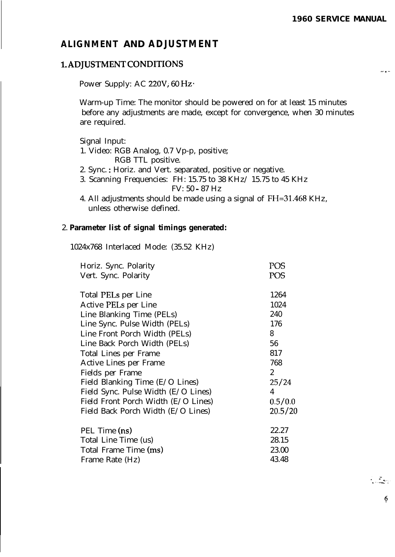\_. . -

## **ALIGNMENT AND ADJUSTMENT**

### **l.ADJUSTMENTCONDITIONS**

Power Supply: AC 220V, 60 Hz·

Warm-up Time: The monitor should be powered on for at least 15 minutes before any adjustments are made, except for convergence, when 30 minutes are required.

Signal Input:

- 1. Video: RGB Analog, 0.7 Vp-p, positive; RGB TTL positive.
- 2. Sync. : Horiz. and Vert. separated, positive or negative.
- 3. Scanning Frequencies: FH: 15.75 to 38 KHz/ 15.75 to 45 KHz FV: 50 - 87 Hz
- 4. All adjustments should be made using a signal of FH=31.468 KHz, unless otherwise defined.

#### 2. **Parameter list of signal timings generated:**

1024x768 Interlaced Mode: (35.52 KHz)

| Horiz. Sync. Polarity               | POS     |
|-------------------------------------|---------|
| Vert. Sync. Polarity                | POS     |
| Total PELs per Line                 | 1264    |
| Active PELs per Line                | 1024    |
| Line Blanking Time (PELs)           | 240     |
| Line Sync. Pulse Width (PELs)       | 176     |
| Line Front Porch Width (PELs)       | 8       |
| Line Back Porch Width (PELs)        | 56      |
| Total Lines per Frame               | 817     |
| Active Lines per Frame              | 768     |
| Fields per Frame                    | 2       |
| Field Blanking Time $(E/O$ Lines)   | 25/24   |
| Field Sync. Pulse Width (E/O Lines) | 4       |
| Field Front Porch Width (E/O Lines) | 0.5/0.0 |
| Field Back Porch Width (E/O Lines)  | 20.5/20 |
| PEL Time (ns)                       | 22.27   |
| Total Line Time (us)                | 28.15   |
| Total Frame Time (ms)               | 23.00   |
| Frame Rate (Hz)                     | 43.48   |

 $6<sub>o</sub>$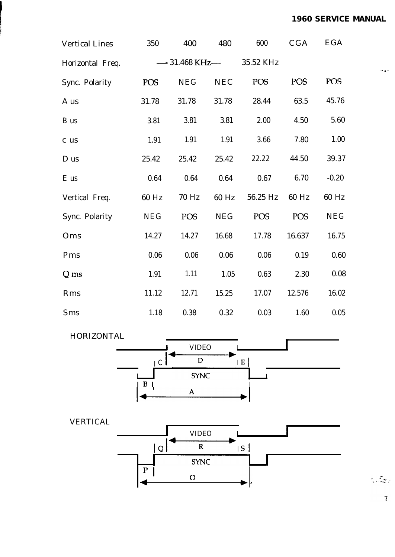### **1960 SERVICE MANUAL**

لأواله

| <b>Vertical Lines</b> | 350                | 400        | 480        | 600        | CGA        | <b>EGA</b> |
|-----------------------|--------------------|------------|------------|------------|------------|------------|
| Horizontal Freq.      | $-$ 31.468 KHz $-$ |            | 35.52 KHz  |            |            |            |
| Sync. Polarity        | <b>POS</b>         | <b>NEG</b> | <b>NEC</b> | <b>POS</b> | POS        | POS        |
| A us                  | 31.78              | 31.78      | 31.78      | 28.44      | 63.5       | 45.76      |
| B us                  | 3.81               | 3.81       | 3.81       | 2.00       | 4.50       | 5.60       |
| c us                  | 1.91               | 1.91       | 1.91       | 3.66       | 7.80       | 1.00       |
| D us                  | 25.42              | 25.42      | 25.42      | 22.22      | 44.50      | 39.37      |
| E us                  | 0.64               | 0.64       | 0.64       | 0.67       | 6.70       | $-0.20$    |
| Vertical Freq.        | 60 Hz              | 70 Hz      | 60 Hz      | 56.25 Hz   | 60 Hz      | 60 Hz      |
| Sync. Polarity        | <b>NEG</b>         | POS        | <b>NEG</b> | <b>POS</b> | <b>POS</b> | <b>NEG</b> |
| Oms                   | 14.27              | 14.27      | 16.68      | 17.78      | 16.637     | 16.75      |
| Pms                   | 0.06               | 0.06       | 0.06       | 0.06       | 0.19       | 0.60       |
| Q ms                  | 1.91               | 1.11       | 1.05       | 0.63       | 2.30       | 0.08       |
| Rms                   | 11.12              | 12.71      | 15.25      | 17.07      | 12.576     | 16.02      |
| <b>Sms</b>            | 1.18               | 0.38       | 0.32       | 0.03       | 1.60       | 0.05       |

**HORIZONTAL** 





 $\overline{\mathcal{L}}$ 

 $\frac{1}{2}$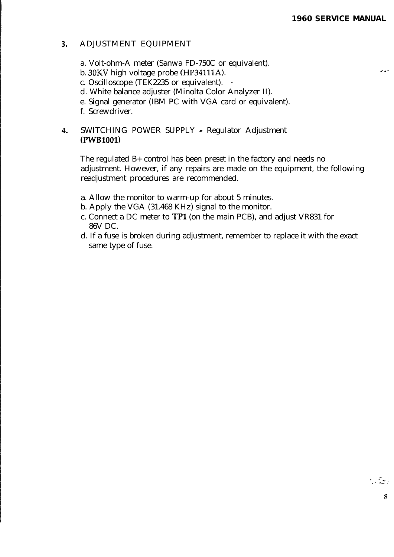#### *3.* ADJUSTMENT EQUIPMENT

- a. Volt-ohm-A meter (Sanwa FD-750C or equivalent).
- b. 3OKV high voltage probe (HP34111A).
- c. Oscilloscope (TEK2235 or equivalent). -
- d. White balance adjuster (Minolta Color Analyzer II).
- e. Signal generator (IBM PC with VGA card or equivalent).
- f. Screwdriver.

#### 4. SWITCHING POWER SUPPLY - Regulator Adjustment (PWB1001)

The regulated B+ control has been preset in the factory and needs no adjustment. However, if any repairs are made on the equipment, the following readjustment procedures are recommended.

- a. Allow the monitor to warm-up for about 5 minutes.
- b. Apply the VGA (31.468 KHz) signal to the monitor.
- c. Connect a DC meter to TPl (on the main PCB), and adjust VR831 for 86V DC.
- d. If a fuse is broken during adjustment, remember to replace it with the exact same type of fuse.

 $\sim$  .  $\sim$ 

tulley.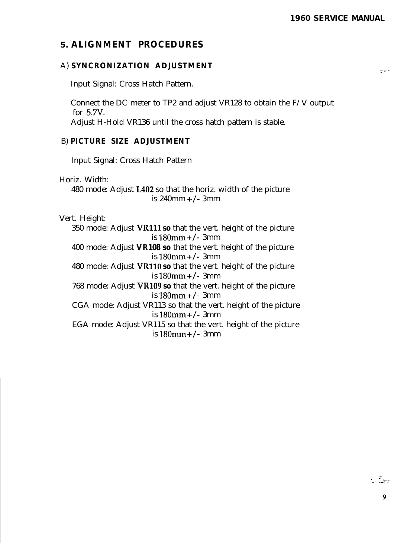$\pm$  +  $\pm$ 

### *5.* **ALIGNMENT PROCEDURES**

#### A) **SYNCRONIZATION ADJUSTMENT**

Input Signal: Cross Hatch Pattern.

Connect the DC meter to TP2 and adjust VR128 to obtain the F/V output for 5.7V. Adjust H-Hold VR136 until the cross hatch pattern is stable.

#### B) **PICTURE SIZE ADJUSTMENT**

Input Signal: Cross Hatch Pattern

Horiz. Width: 480 mode: Adjust L402 so that the horiz. width of the picture is 240mm +/- 3mm

Vert. Height:

350 mode: Adjust **VRlll so** that the vert. height of the picture is 180mm +/- 3mm 400 mode: Adjust **VR108 so** that the vert. height of the picture is 180mm +/- 3mm

480 mode: Adjust **VRllO so** that the vert. height of the picture is 180mm +/- 3mm

768 mode: Adjust **VR109 so** that the vert. height of the picture is 180mm +/- 3mm

CGA mode: Adjust VR113 so that the vert. height of the picture is 180mm +/- 3mm

EGA mode: Adjust VR115 so that the vert. height of the picture is 180mm +/- 3mm

i des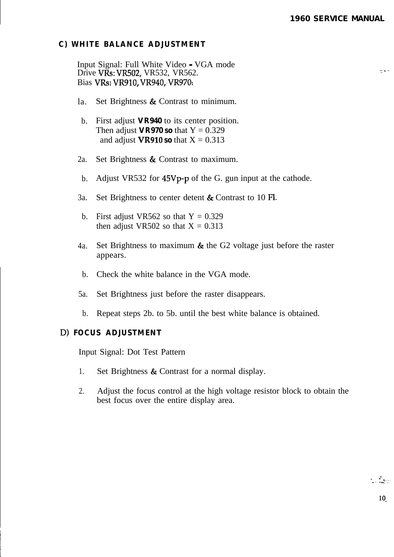د و پ

#### **C) WHITE BALANCE ADJUSTMENT**

Input Signal: Full White Video - VGA mode Drive VRs: VR502, VR532, VR562. Bias VRs: VR910, VR940, VR970:

- la. Set Brightness & Contrast to minimum.
- b. First adjust **VR940** to its center position. Then adjust **VR970 so** that  $Y = 0.329$ and adjust **VR910 so** that  $X = 0.313$
- 2a. Set Brightness & Contrast to maximum.
- b. Adjust VR532 for 45Vp-p of the G. gun input at the cathode.
- 3a. Set Brightness to center detent & Contrast to 10 Fl.
	- b. First adjust VR562 so that  $Y = 0.329$ then adjust VR502 so that  $X = 0.313$
- 4a. Set Brightness to maximum & the G2 voltage just before the raster appears.
- b. Check the white balance in the VGA mode.
- 5a. Set Brightness just before the raster disappears.
- b. Repeat steps 2b. to 5b. until the best white balance is obtained.

#### D) **FOCUS ADJUSTMENT**

Input Signal: Dot Test Pattern

- 1. Set Brightness & Contrast for a normal display.
- 2. Adjust the focus control at the high voltage resistor block to obtain the best focus over the entire display area.

i des

 $10<sub>1</sub>$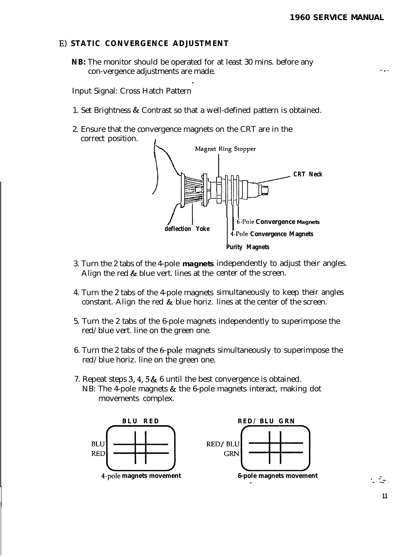\_. . -

#### E) **STATIC CONVERGENCE ADJUSTMENT**

**NB:** The monitor should be operated for at least 30 mins. before any con-vergence adjustments are made.

.

Input Signal: Cross Hatch Pattern

- 1. Set Brightness & Contrast so that a well-defined pattern is obtained.
- 2. Ensure that the convergence magnets on the CRT are in the correct position.



- 3. Turn the 2 tabs of the 4-pole **magnets** independently to adjust their angles. Align the red & blue vert. lines at the center of the screen.
- 4. Turn the 2 tabs of the 4-pole magnets simultaneously to keep their angles constant. Align the red & blue horiz. lines at the center of the screen.
- 5. Turn the 2 tabs of the 6-pole magnets independently to superimpose the red/blue vert. line on the green one.
- 6. Turn the 2 tabs of the 6-pole magnets simultaneously to superimpose the red/blue horiz. line on the green one.
- 7. Repeat steps 3,4,5 & 6 until the best convergence is obtained. NB: The 4-pole magnets & the 6-pole magnets interact, making dot movements complex.



 $\cdot$  . Then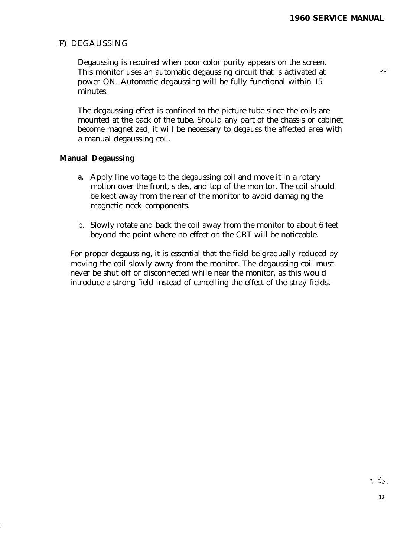\_. . -

#### F) DEGAUSSING

Degaussing is required when poor color purity appears on the screen. This monitor uses an automatic degaussing circuit that is activated at power ON. Automatic degaussing will be fully functional within 15 minutes.

The degaussing effect is confined to the picture tube since the coils are mounted at the back of the tube. Should any part of the chassis or cabinet become magnetized, it will be necessary to degauss the affected area with a manual degaussing coil.

#### **Manual Degaussing**

- **a.** Apply line voltage to the degaussing coil and move it in a rotary motion over the front, sides, and top of the monitor. The coil should be kept away from the rear of the monitor to avoid damaging the magnetic neck components.
- b. Slowly rotate and back the coil away from the monitor to about 6 feet beyond the point where no effect on the CRT will be noticeable.

For proper degaussing, it is essential that the field be gradually reduced by moving the coil slowly away from the monitor. The degaussing coil must never be shut off or disconnected while near the monitor, as this would introduce a strong field instead of cancelling the effect of the stray fields.

**12**

 $\mathbb{R}^n$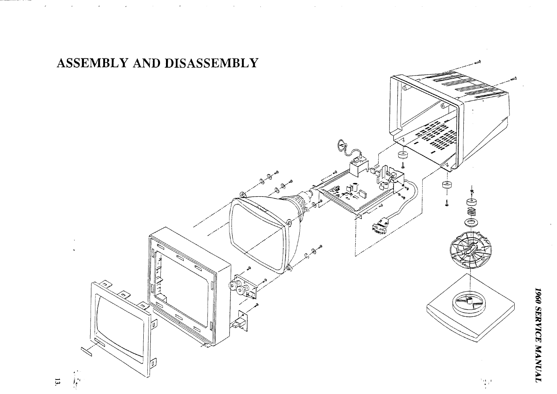

 $\frac{1}{2}$ 

 $\sim$ 

 $\mathcal{L}^{\text{max}}_{\text{max}}$  and  $\mathcal{L}^{\text{max}}_{\text{max}}$  and  $\mathcal{L}^{\text{max}}_{\text{max}}$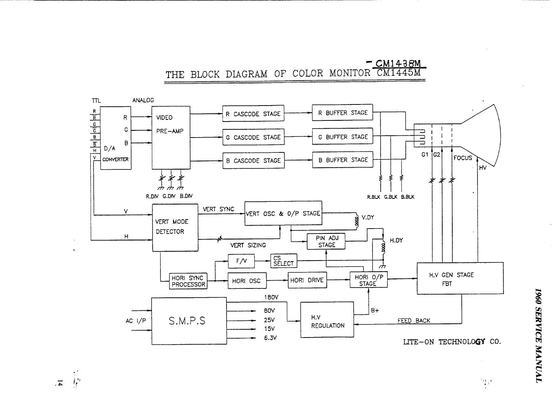THE BLOCK DIAGRAM OF COLOR MONITOR CM1445M



1960 SERVICE MANUAL

 $\mathcal{O}(\frac{1}{2})$ 

 $\overline{4}$ .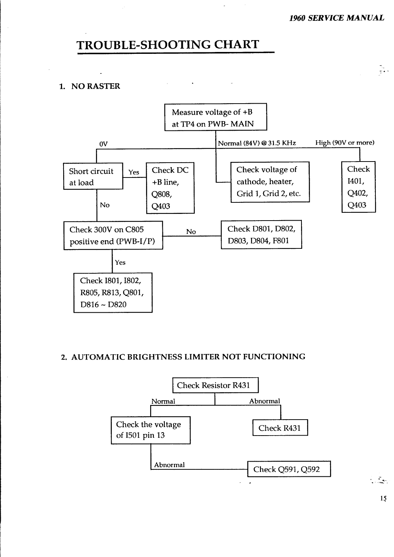$\frac{1}{2}$  ,  $\frac{1}{2}$ 

# TROUBLE-SHOOTING CHART

#### 1. NO RASTER



### 2. AUTOMATIC BRIGHTNESS LIMITER NOT FUNCTIONING



 $15<sub>1</sub>$ 

i de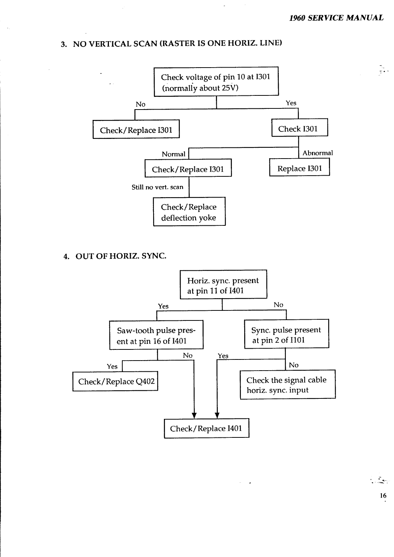$\frac{1}{2}$  .

i de

 $16$ 

#### 3. NO VERTICAL SCAN (RASTER IS ONE HORIZ. LINE)



 $\bar{\tau}$ 

### 4. OUT OF HORIZ. SYNC.



 $\sim$  $\mathbf{r}$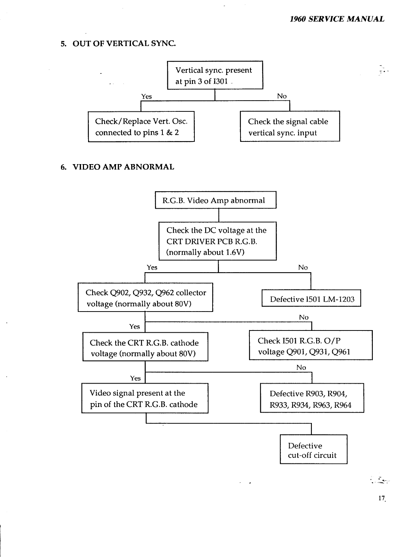$\frac{1}{2}$  ,  $\frac{1}{2}$ 

#### 5. OUT OF VERTICAL SYNC.



#### 6. VIDEO AMP ABNORMAL



 $17<sub>1</sub>$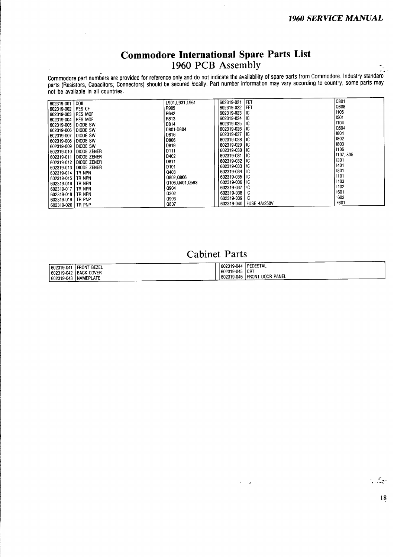## **Commodore International Spare Parts List** 1960 PCB Assembly

Commodore part numbers are provided for reference only and do not indicate the availability of spare parts from Commodore. Industry standard<br>parts (Resistors, Capacitors, Connectors) should be secured locally. Part number not be available in all countries.

| 602319-001             | <b>I</b> COIL             | L901, L931, L961 | 602319-021        | <b>IFET</b>               | 0801      |
|------------------------|---------------------------|------------------|-------------------|---------------------------|-----------|
| 602319-002 RES CF      |                           | R905             | 1602319-022 I FET |                           | Q808      |
| 602319-003 IRES MOF    |                           | R642             | 1602319-023 IIC   |                           | 1105      |
| 602319-004 RES MOF     |                           | R813             | 1602319-024 IIC   |                           | 1501      |
| 602319-005 DIODE SW    |                           | D814             | 602319-025        | -IC                       | 1104      |
| 602319-006   DIODE SW  |                           | D801-D804        | 602319-026 IIC    |                           | 0594      |
| 1602319-007   DIODE SW |                           | D816             | 602319-027 IIC    |                           | 1804      |
| 1602319-008   DIODE SW |                           | D806             | 602319-028 LIC    |                           | 1802      |
| 602319-009             | DIODE SW                  | D819             | 602319-029 IIC    |                           | 1803      |
|                        | 602319-010   DIODE ZENER  | D111             | 602319-030 HC     |                           | 1106      |
| 602319-011             | i diode Zener             | D402             | 602319-031        | l IC                      | 1107.1805 |
|                        | 1602319-012 I DIODE ZENER | D811             | 1602319-032 IIC   |                           | 1301      |
|                        | 602319-013   DIODE ZENER  | D <sub>101</sub> | 602319-033        | l IC                      | 1401      |
| 602319-014             | itr npn                   | 0403             | 602319-034 IIC    |                           | 1801      |
| 1602319-015 I TR NPN   |                           | Q802.Q806        | 602319-035 IIC    |                           | 1101      |
| 602319-016 TR NPN      |                           | 0106.0401.0593   | 602319-036        | нс                        | 1103      |
| 602319-017 TR NPN      |                           | 0904             | 602319-037        | l IC                      | 1102      |
| 602319-018 I TR NPN    |                           | 0302             | 602319-038        |                           | 1601      |
| 602319-019             | I TR PNP                  | Q903             | 602319-039        | I IC                      | 1602      |
| 602319-020             | tr pnp                    | Q807             |                   | 602319-040   FUSE 4A/250V | F801      |
|                        |                           |                  |                   |                           |           |

## **Cabinet Parts**

| 602319-041             | <b>FRONT BEZEL</b> | 602319-044 | <b>I PEDESTAL</b>           |
|------------------------|--------------------|------------|-----------------------------|
| 602319-042 BACK COVER  |                    | 602319-045 | I CR'                       |
| 602319-043   NAMEPLATE |                    |            | 602319-046 FRONT DOOR PANEL |

 $\bullet$ 

 $18$ 

t liter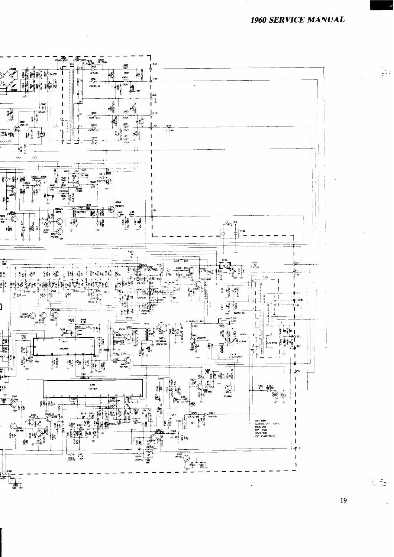**1960 SERVICE MANUAL** 

 $\frac{\partial \mathbf{p}}{\partial \mathbf{r}}$ 



19

 $\frac{1}{2}$  ,  $\frac{1}{2}$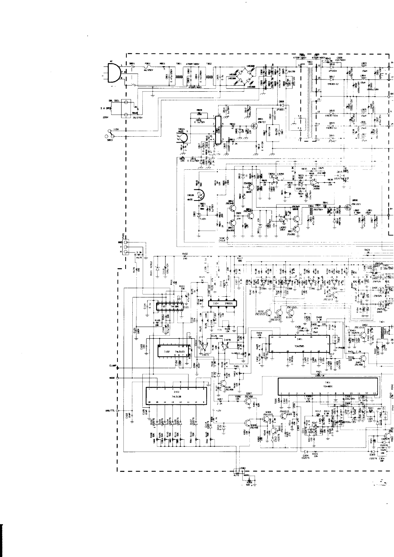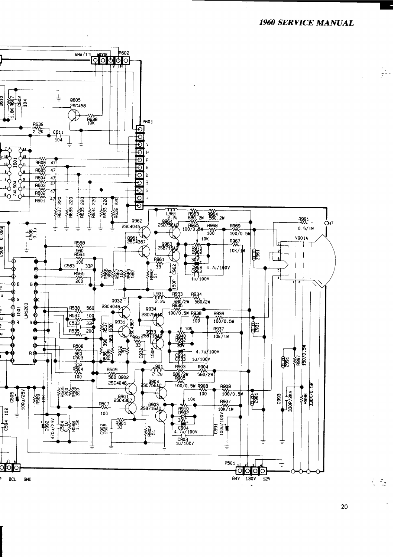**1960 SERVICE MANUAL** 

 $\frac{1}{2}$ 



 $20$ 

 $\frac{1}{2}$  ,  $\frac{1}{2}$